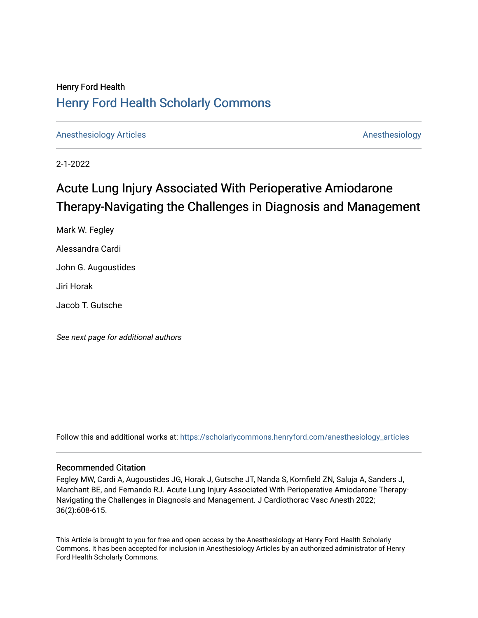# Henry Ford Health [Henry Ford Health Scholarly Commons](https://scholarlycommons.henryford.com/)

[Anesthesiology Articles](https://scholarlycommons.henryford.com/anesthesiology_articles) [Anesthesiology](https://scholarlycommons.henryford.com/anesthesiology) Articles

2-1-2022

# Acute Lung Injury Associated With Perioperative Amiodarone Therapy-Navigating the Challenges in Diagnosis and Management

Mark W. Fegley Alessandra Cardi John G. Augoustides Jiri Horak Jacob T. Gutsche

See next page for additional authors

Follow this and additional works at: [https://scholarlycommons.henryford.com/anesthesiology\\_articles](https://scholarlycommons.henryford.com/anesthesiology_articles?utm_source=scholarlycommons.henryford.com%2Fanesthesiology_articles%2F122&utm_medium=PDF&utm_campaign=PDFCoverPages)

### Recommended Citation

Fegley MW, Cardi A, Augoustides JG, Horak J, Gutsche JT, Nanda S, Kornfield ZN, Saluja A, Sanders J, Marchant BE, and Fernando RJ. Acute Lung Injury Associated With Perioperative Amiodarone Therapy-Navigating the Challenges in Diagnosis and Management. J Cardiothorac Vasc Anesth 2022; 36(2):608-615.

This Article is brought to you for free and open access by the Anesthesiology at Henry Ford Health Scholarly Commons. It has been accepted for inclusion in Anesthesiology Articles by an authorized administrator of Henry Ford Health Scholarly Commons.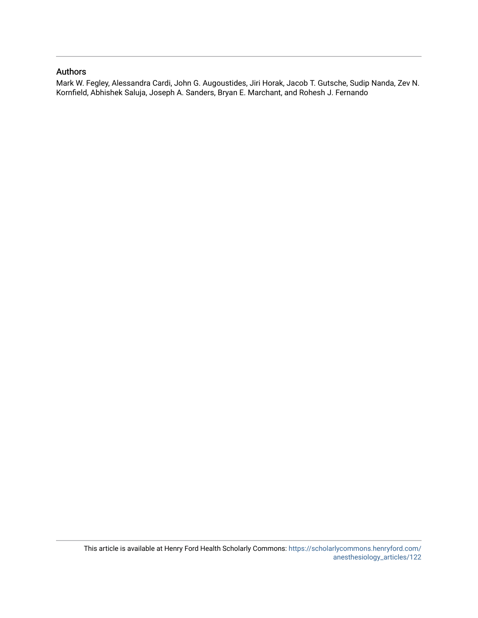## Authors

Mark W. Fegley, Alessandra Cardi, John G. Augoustides, Jiri Horak, Jacob T. Gutsche, Sudip Nanda, Zev N. Kornfield, Abhishek Saluja, Joseph A. Sanders, Bryan E. Marchant, and Rohesh J. Fernando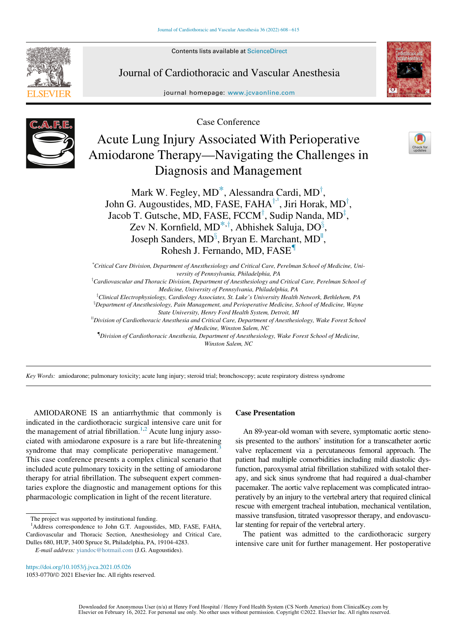Contents lists available at ScienceDirect



Journal of Cardiothoracic and Vascular Anesthesia

journal homepage: [www.jcvaonline.com](http://www.jcvaonline.com)



Case Conference



Acute Lung Injury Associated With Perioperative Amiodarone Therapy—Navigating the Challenges in Diagnosis and Management



Mark W. Fegle[y](#page-2-1), MD $^*$ , Alessandra [C](#page-2-2)ardi, MD $^\dagger$ , John G. Augoustides, MD, FASE, FAHA<sup>†1</sup>, Jiri Horak, MD<sup>†</sup>, Jacob T. Gutsche, MD, FASE, FCCM<sup>†</sup>, Sudip Nanda, MD<sup>‡</sup>, Zev N. Kornfield, MD<sup>[\\*](#page-2-0),†</sup>, Abhishek Saluja, DO<sup>§</sup>, Joseph Sanders, MD<sup>§</sup>, Bryan E. Marchant, MD<sup>[||](#page-2-5)</sup>, Rohesh J. Fernando, MD, FASE[{](#page-2-6)

<span id="page-2-1"></span><span id="page-2-0"></span>\* Critical Care Division, Department of Anesthesiology and Critical Care, Perelman School of Medicine, University of Pennsylvania, Philadelphia, PA  ${}^{\dagger}$ Cardiovascular and Thoracic Division, Department of Anesthesiology and Critical Care, Perelman School of Medicine, University of Pennsylvania, Philadelphia, PA <sup>1</sup>Clinical Electrophysiology, Cardiology Associates, St. Luke's University Health Network, Bethlehem, PA  $^8$ Department of Anesthesiology, Pain Management, and Perioperative Medicine, School of Medicine, Wayne State University, Henry Ford Health System, Detroit, MI<br><sup>||</sup>Division of Cardiothoracic Anesthesia and Critical Care, Department of Anesthesiology, Wake Forest School of Medicine, Winston Salem, NC { Division of Cardiothoracic Anesthesia, Department of Anesthesiology, Wake Forest School of Medicine,

Winston Salem, NC

<span id="page-2-6"></span><span id="page-2-5"></span><span id="page-2-4"></span><span id="page-2-3"></span>Key Words: amiodarone; pulmonary toxicity; acute lung injury; steroid trial; bronchoscopy; acute respiratory distress syndrome

AMIODARONE IS an antiarrhythmic that commonly is indicated in the cardiothoracic surgical intensive care unit for the management of atrial fibrillation.<sup>[1](#page-7-0)[,2](#page-7-1)</sup> Acute lung injury associated with amiodarone exposure is a rare but life-threatening syndrome that may complicate perioperative management.<sup>[3](#page-7-2)</sup> This case conference presents a complex clinical scenario that included acute pulmonary toxicity in the setting of amiodarone therapy for atrial fibrillation. The subsequent expert commentaries explore the diagnostic and management options for this pharmacologic complication in light of the recent literature.

Case Presentation

An 89-year-old woman with severe, symptomatic aortic stenosis presented to the authors' institution for a transcatheter aortic valve replacement via a percutaneous femoral approach. The patient had multiple comorbidities including mild diastolic dysfunction, paroxysmal atrial fibrillation stabilized with sotalol therapy, and sick sinus syndrome that had required a dual-chamber pacemaker. The aortic valve replacement was complicated intraoperatively by an injury to the vertebral artery that required clinical rescue with emergent tracheal intubation, mechanical ventilation, massive transfusion, titrated vasopressor therapy, and endovascular stenting for repair of the vertebral artery.

The patient was admitted to the cardiothoracic surgery intensive care unit for further management. Her postoperative

1053-0770/© 2021 Elsevier Inc. All rights reserved.

The project was supported by institutional funding.

<span id="page-2-2"></span><sup>&</sup>lt;sup>1</sup>Address correspondence to John G.T. Augoustides, MD, FASE, FAHA, Cardiovascular and Thoracic Section, Anesthesiology and Critical Care, Dulles 680, HUP, 3400 Spruce St, Philadelphia, PA, 19104-4283.

E-mail address: [yiandoc@hotmail.com](mailto:yiandoc@hotmail.com) (J.G. Augoustides).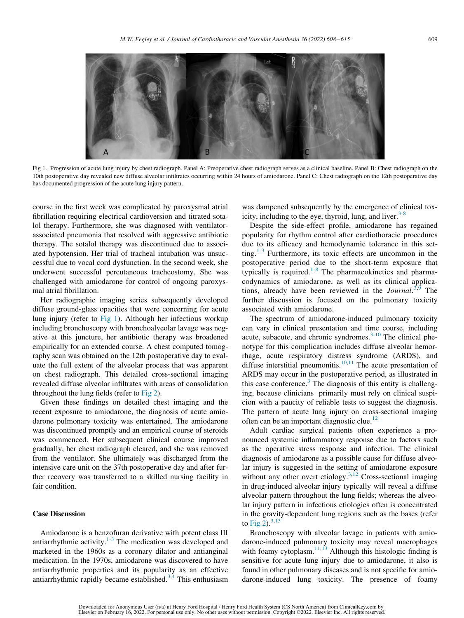<span id="page-3-0"></span>

Fig 1. Progression of acute lung injury by chest radiograph. Panel A: Preoperative chest radiograph serves as a clinical baseline. Panel B: Chest radiograph on the 10th postoperative day revealed new diffuse alveolar infiltrates occurring within 24 hours of amiodarone. Panel C: Chest radiograph on the 12th postoperative day has documented progression of the acute lung injury pattern.

course in the first week was complicated by paroxysmal atrial fibrillation requiring electrical cardioversion and titrated sotalol therapy. Furthermore, she was diagnosed with ventilatorassociated pneumonia that resolved with aggressive antibiotic therapy. The sotalol therapy was discontinued due to associated hypotension. Her trial of tracheal intubation was unsuccessful due to vocal cord dysfunction. In the second week, she underwent successful percutaneous tracheostomy. She was challenged with amiodarone for control of ongoing paroxysmal atrial fibrillation.

Her radiographic imaging series subsequently developed diffuse ground-glass opacities that were concerning for acute lung injury (refer to [Fig 1](#page-3-0)). Although her infectious workup including bronchoscopy with bronchoalveolar lavage was negative at this juncture, her antibiotic therapy was broadened empirically for an extended course. A chest computed tomography scan was obtained on the 12th postoperative day to evaluate the full extent of the alveolar process that was apparent on chest radiograph. This detailed cross-sectional imaging revealed diffuse alveolar infiltrates with areas of consolidation throughout the lung fields (refer to [Fig 2](#page-4-0)).

Given these findings on detailed chest imaging and the recent exposure to amiodarone, the diagnosis of acute amiodarone pulmonary toxicity was entertained. The amiodarone was discontinued promptly and an empirical course of steroids was commenced. Her subsequent clinical course improved gradually, her chest radiograph cleared, and she was removed from the ventilator. She ultimately was discharged from the intensive care unit on the 37th postoperative day and after further recovery was transferred to a skilled nursing facility in fair condition.

#### Case Discussion

Amiodarone is a benzofuran derivative with potent class III antiarrhythmic activity. $1-3$  The medication was developed and marketed in the 1960s as a coronary dilator and antianginal medication. In the 1970s, amiodarone was discovered to have antiarrhythmic properties and its popularity as an effective antiarrhythmic rapidly became established.<sup>[3,](#page-7-2)[4](#page-7-3)</sup> This enthusiasm

was dampened subsequently by the emergence of clinical toxicity, including to the eye, thyroid, lung, and liver. $3-8$ 

Despite the side-effect profile, amiodarone has regained popularity for rhythm control after cardiothoracic procedures due to its efficacy and hemodynamic tolerance in this setting. $1-3$  Furthermore, its toxic effects are uncommon in the postoperative period due to the short-term exposure that typically is required.<sup>[1-8](#page-7-0)</sup> The pharmacokinetics and pharmacodynamics of amiodarone, as well as its clinical applications, already have been reviewed in the *Journal*.<sup>[3](#page-7-2),[9](#page-7-4)</sup> The further discussion is focused on the pulmonary toxicity associated with amiodarone.

The spectrum of amiodarone-induced pulmonary toxicity can vary in clinical presentation and time course, including acute, subacute, and chronic syndromes. $3-10$  The clinical phenotype for this complication includes diffuse alveolar hemorrhage, acute respiratory distress syndrome (ARDS), and diffuse interstitial pneumonitis.<sup>[10](#page-7-5)[,11](#page-7-6)</sup> The acute presentation of ARDS may occur in the postoperative period, as illustrated in this case conference.<sup>[3](#page-7-2)</sup> The diagnosis of this entity is challenging, because clinicians primarily must rely on clinical suspicion with a paucity of reliable tests to suggest the diagnosis. The pattern of acute lung injury on cross-sectional imaging often can be an important diagnostic clue.<sup>[12](#page-7-7)</sup>

Adult cardiac surgical patients often experience a pronounced systemic inflammatory response due to factors such as the operative stress response and infection. The clinical diagnosis of amiodarone as a possible cause for diffuse alveolar injury is suggested in the setting of amiodarone exposure without any other overt etiology.<sup>3,[12](#page-7-7)</sup> Cross-sectional imaging in drug-induced alveolar injury typically will reveal a diffuse alveolar pattern throughout the lung fields; whereas the alveolar injury pattern in infectious etiologies often is concentrated in the gravity-dependent lung regions such as the bases (refer to [Fig 2\)](#page-4-0).  $3,13$  $3,13$ 

Bronchoscopy with alveolar lavage in patients with amiodarone-induced pulmonary toxicity may reveal macrophages with foamy cytoplasm. $11,13$  $11,13$  Although this histologic finding is sensitive for acute lung injury due to amiodarone, it also is found in other pulmonary diseases and is not specific for amiodarone-induced lung toxicity. The presence of foamy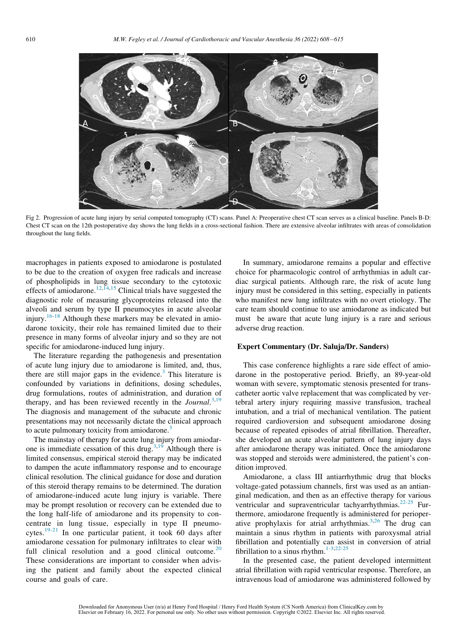<span id="page-4-0"></span>

Fig 2. Progression of acute lung injury by serial computed tomography (CT) scans. Panel A: Preoperative chest CT scan serves as a clinical baseline. Panels B-D: Chest CT scan on the 12th postoperative day shows the lung fields in a cross-sectional fashion. There are extensive alveolar infiltrates with areas of consolidation throughout the lung fields.

macrophages in patients exposed to amiodarone is postulated to be due to the creation of oxygen free radicals and increase of phospholipids in lung tissue secondary to the cytotoxic effects of amiodarone.<sup>[12,](#page-7-7)[14](#page-8-1),[15](#page-8-2)</sup> Clinical trials have suggested the diagnostic role of measuring glycoproteins released into the alveoli and serum by type II pneumocytes in acute alveolar injury.<sup>[16-18](#page-8-3)</sup> Although these markers may be elevated in amiodarone toxicity, their role has remained limited due to their presence in many forms of alveolar injury and so they are not specific for amiodarone-induced lung injury.

The literature regarding the pathogenesis and presentation of acute lung injury due to amiodarone is limited, and, thus, there are still major gaps in the evidence.<sup>3</sup> This literature is confounded by variations in definitions, dosing schedules, drug formulations, routes of administration, and duration of therapy, and has been reviewed recently in the Journal.<sup>[3](#page-7-2),[19](#page-8-4)</sup> The diagnosis and management of the subacute and chronic presentations may not necessarily dictate the clinical approach to acute pulmonary toxicity from amiodarone.<sup>[3](#page-7-2)</sup>

The mainstay of therapy for acute lung injury from amiodar-one is immediate cessation of this drug.<sup>[3,](#page-7-2)[19](#page-8-4)</sup> Although there is limited consensus, empirical steroid therapy may be indicated to dampen the acute inflammatory response and to encourage clinical resolution. The clinical guidance for dose and duration of this steroid therapy remains to be determined. The duration of amiodarone-induced acute lung injury is variable. There may be prompt resolution or recovery can be extended due to the long half-life of amiodarone and its propensity to concentrate in lung tissue, especially in type II pneumocytes.[19-21](#page-8-4) In one particular patient, it took 60 days after amiodarone cessation for pulmonary infiltrates to clear with full clinical resolution and a good clinical outcome.<sup>[20](#page-8-5)</sup> These considerations are important to consider when advising the patient and family about the expected clinical course and goals of care.

In summary, amiodarone remains a popular and effective choice for pharmacologic control of arrhythmias in adult cardiac surgical patients. Although rare, the risk of acute lung injury must be considered in this setting, especially in patients who manifest new lung infiltrates with no overt etiology. The care team should continue to use amiodarone as indicated but must be aware that acute lung injury is a rare and serious adverse drug reaction.

#### Expert Commentary (Dr. Saluja/Dr. Sanders)

This case conference highlights a rare side effect of amiodarone in the postoperative period. Briefly, an 89-year-old woman with severe, symptomatic stenosis presented for transcatheter aortic valve replacement that was complicated by vertebral artery injury requiring massive transfusion, tracheal intubation, and a trial of mechanical ventilation. The patient required cardioversion and subsequent amiodarone dosing because of repeated episodes of atrial fibrillation. Thereafter, she developed an acute alveolar pattern of lung injury days after amiodarone therapy was initiated. Once the amiodarone was stopped and steroids were administered, the patient's condition improved.

Amiodarone, a class III antiarrhythmic drug that blocks voltage-gated potassium channels, first was used as an antianginal medication, and then as an effective therapy for various ventricular and supraventricular tachyarrhythmias.<sup>[22-25](#page-8-6)</sup> Furthermore, amiodarone frequently is administered for perioperative prophylaxis for atrial arrhythmias. $3,26$  $3,26$  The drug can maintain a sinus rhythm in patients with paroxysmal atrial fibrillation and potentially can assist in conversion of atrial fibrillation to a sinus rhythm. $1-3,22-25$  $1-3,22-25$ 

In the presented case, the patient developed intermittent atrial fibrillation with rapid ventricular response. Therefore, an intravenous load of amiodarone was administered followed by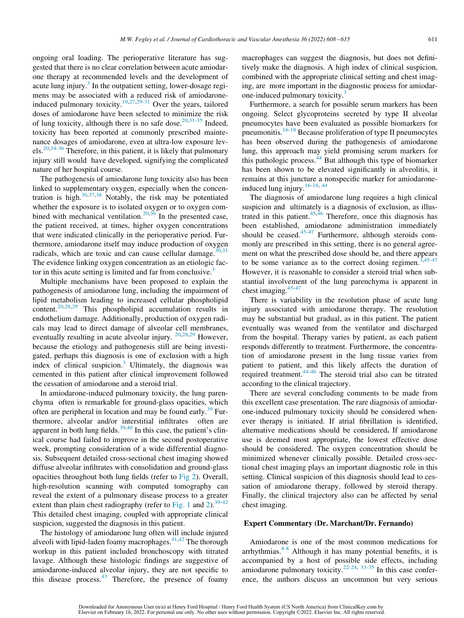ongoing oral loading. The perioperative literature has suggested that there is no clear correlation between acute amiodarone therapy at recommended levels and the development of acute lung injury. $3$  In the outpatient setting, lower-dosage regimens may be associated with a reduced risk of amiodarone-induced pulmonary toxicity.<sup>[10](#page-7-5)[,27,](#page-8-8)[29-31](#page-8-9)</sup> Over the years, tailored doses of amiodarone have been selected to minimize the risk of lung toxicity, although there is no safe dose.<sup>[20,](#page-8-5)[31-35](#page-8-10)</sup> Indeed, toxicity has been reported at commonly prescribed maintenance dosages of amiodarone, even at ultra-low exposure lev- $els.^{20,34-36}$  $els.^{20,34-36}$  $els.^{20,34-36}$  $els.^{20,34-36}$  Therefore, in this patient, it is likely that pulmonary injury still would have developed, signifying the complicated nature of her hospital course.

The pathogenesis of amiodarone lung toxicity also has been linked to supplementary oxygen, especially when the concentration is high. $30,37,38$  $30,37,38$  $30,37,38$  $30,37,38$  Notably, the risk may be potentiated whether the exposure is to isolated oxygen or to oxygen com-bined with mechanical ventilation.<sup>[20,](#page-8-5)[36](#page-8-15)</sup> In the presented case, the patient received, at times, higher oxygen concentrations that were indicated clinically in the perioperative period. Furthermore, amiodarone itself may induce production of oxygen radicals, which are toxic and can cause cellular damage. $30,31$  $30,31$ The evidence linking oxygen concentration as an etiologic fac-tor in this acute setting is limited and far from conclusive.<sup>[3](#page-7-2)</sup>

Multiple mechanisms have been proposed to explain the pathogenesis of amiodarone lung, including the impairment of lipid metabolism leading to increased cellular phospholipid content.[20](#page-8-5)[,28](#page-8-16)[,29](#page-8-9) This phospholipid accumulation results in endothelium damage. Additionally, production of oxygen radicals may lead to direct damage of alveolar cell membranes, eventually resulting in acute alveolar injury. <sup>[20](#page-8-5),[28](#page-8-16)[,29](#page-8-9)</sup> However, because the etiology and pathogenesis still are being investigated, perhaps this diagnosis is one of exclusion with a high index of clinical suspicion.<sup>[3](#page-7-2)</sup> Ultimately, the diagnosis was cemented in this patient after clinical improvement followed the cessation of amiodarone and a steroid trial.

In amiodarone-induced pulmonary toxicity, the lung parenchyma often is remarkable for ground-glass opacities, which often are peripheral in location and may be found early.<sup>[39](#page-8-17)</sup> Furthermore, alveolar and/or interstitial infiltrates often are apparent in both lung fields. $39,40$  $39,40$  $39,40$  In this case, the patient's clinical course had failed to improve in the second postoperative week, prompting consideration of a wide differential diagnosis. Subsequent detailed cross-sectional chest imaging showed diffuse alveolar infiltrates with consolidation and ground-glass opacities throughout both lung fields (refer to [Fig 2](#page-4-0)). Overall, high-resolution scanning with computed tomography can reveal the extent of a pulmonary disease process to a greater extent than plain chest radiography (refer to [Fig. 1](#page-3-0) and [2\)](#page-4-0).<sup>[39-42](#page-8-17)</sup> This detailed chest imaging, coupled with appropriate clinical suspicion, suggested the diagnosis in this patient.

The histology of amiodarone lung often will include injured alveoli with lipid-laden foamy macrophages. $41,42$  $41,42$  The thorough workup in this patient included bronchoscopy with titrated lavage. Although these histologic findings are suggestive of amiodarone-induced alveolar injury, they are not specific to this disease process. $43$  Therefore, the presence of foamy macrophages can suggest the diagnosis, but does not definitively make the diagnosis. A high index of clinical suspicion, combined with the appropriate clinical setting and chest imaging, are more important in the diagnostic process for amiodar-one-induced pulmonary toxicity.<sup>[3](#page-7-2)</sup>

Furthermore, a search for possible serum markers has been ongoing. Select glycoproteins secreted by type II alveolar pneumocytes have been evaluated as possible biomarkers for pneumonitis. $16-18$  Because proliferation of type II pneumocytes has been observed during the pathogenesis of amiodarone lung, this approach may yield promising serum markers for this pathologic process.<sup>[44](#page-8-22)</sup> But although this type of biomarker has been shown to be elevated significantly in alveolitis, it remains at this juncture a nonspecific marker for amiodarone-induced lung injury.<sup>[16-18,](#page-8-3) [44](#page-8-22)</sup>

The diagnosis of amiodarone lung requires a high clinical suspicion and ultimately is a diagnosis of exclusion, as illustrated in this patient. $45,46$  $45,46$  Therefore, once this diagnosis has been established, amiodarone administration immediately should be ceased. $45-47$  Furthermore, although steroids commonly are prescribed in this setting, there is no general agreement on what the prescribed dose should be, and there appears to be some variance as to the correct dosing regimen.<sup>[3](#page-7-2),45</sup> However, it is reasonable to consider a steroid trial when substantial involvement of the lung parenchyma is apparent in chest imaging.[45-47](#page-8-23)

There is variability in the resolution phase of acute lung injury associated with amiodarone therapy. The resolution may be substantial but gradual, as in this patient. The patient eventually was weaned from the ventilator and discharged from the hospital. Therapy varies by patient, as each patient responds differently to treatment. Furthermore, the concentration of amiodarone present in the lung tissue varies from patient to patient, and this likely affects the duration of required treatment.[44-46](#page-8-22) The steroid trial also can be titrated according to the clinical trajectory.

There are several concluding comments to be made from this excellent case presentation. The rare diagnosis of amiodarone-induced pulmonary toxicity should be considered whenever therapy is initiated. If atrial fibrillation is identified, alternative medications should be considered. If amiodarone use is deemed most appropriate, the lowest effective dose should be considered. The oxygen concentration should be minimized whenever clinically possible. Detailed cross-sectional chest imaging plays an important diagnostic role in this setting. Clinical suspicion of this diagnosis should lead to cessation of amiodarone therapy, followed by steroid therapy. Finally, the clinical trajectory also can be affected by serial chest imaging.

#### Expert Commentary (Dr. Marchant/Dr. Fernando)

Amiodarone is one of the most common medications for arrhythmias.<sup>[4-8](#page-7-3)</sup> Although it has many potential benefits, it is accompanied by a host of possible side effects, including amiodarone pulmonary toxicity.<sup>[22-24](#page-8-6), [33-35](#page-8-25)</sup> In this case conference, the authors discuss an uncommon but very serious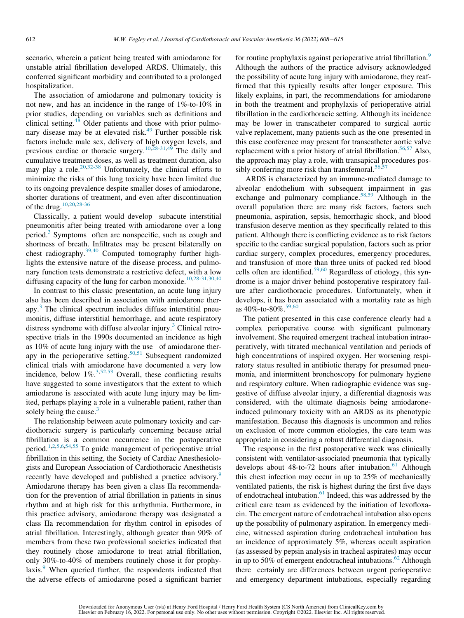scenario, wherein a patient being treated with amiodarone for unstable atrial fibrillation developed ARDS. Ultimately, this conferred significant morbidity and contributed to a prolonged hospitalization.

The association of amiodarone and pulmonary toxicity is not new, and has an incidence in the range of 1%-to-10% in prior studies, depending on variables such as definitions and clinical setting. $48$  Older patients and those with prior pulmonary disease may be at elevated risk.<sup>49</sup> Further possible risk factors include male sex, delivery of high oxygen levels, and previous cardiac or thoracic surgery.<sup>[10](#page-7-5)[,28-31,](#page-8-16)[49](#page-8-27)</sup> The daily and cumulative treatment doses, as well as treatment duration, also may play a role.<sup>[20](#page-8-5)[,32-38](#page-8-28)</sup> Unfortunately, the clinical efforts to minimize the risks of this lung toxicity have been limited due to its ongoing prevalence despite smaller doses of amiodarone, shorter durations of treatment, and even after discontinuation of the drug[.10,](#page-7-5)[20](#page-8-5)[,28-36](#page-8-16)

Classically, a patient would develop subacute interstitial pneumonitis after being treated with amiodarone over a long period.[3](#page-7-2) Symptoms often are nonspecific, such as cough and shortness of breath. Infiltrates may be present bilaterally on chest radiography.<sup>[39](#page-8-17),[40](#page-8-18)</sup> Computed tomography further highlights the extensive nature of the disease process, and pulmonary function tests demonstrate a restrictive defect, with a low diffusing capacity of the lung for carbon monoxide.<sup>[10](#page-7-5)[,28-31,](#page-8-16)[30](#page-8-12),[40](#page-8-18)</sup>

In contrast to this classic presentation, an acute lung injury also has been described in association with amiodarone therapy.<sup>3</sup> The clinical spectrum includes diffuse interstitial pneumonitis, diffuse interstitial hemorrhage, and acute respiratory distress syndrome with diffuse alveolar injury.<sup>[3](#page-7-2)</sup> Clinical retrospective trials in the 1990s documented an incidence as high as 10% of acute lung injury with the use of amiodarone ther-apy in the perioperative setting.<sup>50,[51](#page-8-30)</sup> Subsequent randomized clinical trials with amiodarone have documented a very low incidence, below  $1\%$ <sup>3,[52](#page-8-31),[53](#page-8-32)</sup> Overall, these conflicting results have suggested to some investigators that the extent to which amiodarone is associated with acute lung injury may be limited, perhaps playing a role in a vulnerable patient, rather than solely being the cause. $3$ 

The relationship between acute pulmonary toxicity and cardiothoracic surgery is particularly concerning because atrial fibrillation is a common occurrence in the postoperative period.[1](#page-7-0)[,2,](#page-7-1)[5](#page-7-8)[,6,](#page-7-9)[54](#page-8-33)[,55](#page-8-34) To guide management of perioperative atrial fibrillation in this setting, the Society of Cardiac Anesthesiologists and European Association of Cardiothoracic Anesthetists recently have developed and published a practice advisory.<sup>[9](#page-7-4)</sup> Amiodarone therapy has been given a class IIa recommendation for the prevention of atrial fibrillation in patients in sinus rhythm and at high risk for this arrhythmia. Furthermore, in this practice advisory, amiodarone therapy was designated a class IIa recommendation for rhythm control in episodes of atrial fibrillation. Interestingly, although greater than 90% of members from these two professional societies indicated that they routinely chose amiodarone to treat atrial fibrillation, only 30%-to-40% of members routinely chose it for prophy-laxis.<sup>[9](#page-7-4)</sup> When queried further, the respondents indicated that the adverse effects of amiodarone posed a significant barrier for routine prophylaxis against perioperative atrial fibrillation.<sup>[9](#page-7-4)</sup> Although the authors of the practice advisory acknowledged the possibility of acute lung injury with amiodarone, they reaffirmed that this typically results after longer exposure. This likely explains, in part, the recommendations for amiodarone in both the treatment and prophylaxis of perioperative atrial fibrillation in the cardiothoracic setting. Although its incidence may be lower in transcatheter compared to surgical aortic valve replacement, many patients such as the one presented in this case conference may present for transcatheter aortic valve replacement with a prior history of atrial fibrillation.<sup>[56](#page-8-35)[,57](#page-8-36)</sup> Also, the approach may play a role, with transapical procedures pos-sibly conferring more risk than transfemoral.<sup>[56](#page-8-35)[,57](#page-8-36)</sup>

ARDS is characterized by an immune-mediated damage to alveolar endothelium with subsequent impairment in gas exchange and pulmonary compliance.<sup>[58](#page-8-37)[,59](#page-8-38)</sup> Although in the overall population there are many risk factors, factors such pneumonia, aspiration, sepsis, hemorrhagic shock, and blood transfusion deserve mention as they specifically related to this patient. Although there is conflicting evidence as to risk factors specific to the cardiac surgical population, factors such as prior cardiac surgery, complex procedures, emergency procedures, and transfusion of more than three units of packed red blood cells often are identified.<sup>[59](#page-8-38)[,60](#page-8-39)</sup> Regardless of etiology, this syndrome is a major driver behind postoperative respiratory failure after cardiothoracic procedures. Unfortunately, when it develops, it has been associated with a mortality rate as high as  $40\%$ -to-80\%  $59,60$  $59,60$  $59,60$ 

The patient presented in this case conference clearly had a complex perioperative course with significant pulmonary involvement. She required emergent tracheal intubation intraoperatively, with titrated mechanical ventilation and periods of high concentrations of inspired oxygen. Her worsening respiratory status resulted in antibiotic therapy for presumed pneumonia, and intermittent bronchoscopy for pulmonary hygiene and respiratory culture. When radiographic evidence was suggestive of diffuse alveolar injury, a differential diagnosis was considered, with the ultimate diagnosis being amiodaroneinduced pulmonary toxicity with an ARDS as its phenotypic manifestation. Because this diagnosis is uncommon and relies on exclusion of more common etiologies, the care team was appropriate in considering a robust differential diagnosis.

The response in the first postoperative week was clinically consistent with ventilator-associated pneumonia that typically develops about 48-to-72 hours after intubation.<sup>61</sup> Although this chest infection may occur in up to 25% of mechanically ventilated patients, the risk is highest during the first five days of endotracheal intubation.<sup>[61](#page-8-40)</sup> Indeed, this was addressed by the critical care team as evidenced by the initiation of levofloxacin. The emergent nature of endotracheal intubation also opens up the possibility of pulmonary aspiration. In emergency medicine, witnessed aspiration during endotracheal intubation has an incidence of approximately 5%, whereas occult aspiration (as assessed by pepsin analysis in tracheal aspirates) may occur in up to 50% of emergent endotracheal intubations. $62$  Although there certainly are differences between urgent perioperative and emergency department intubations, especially regarding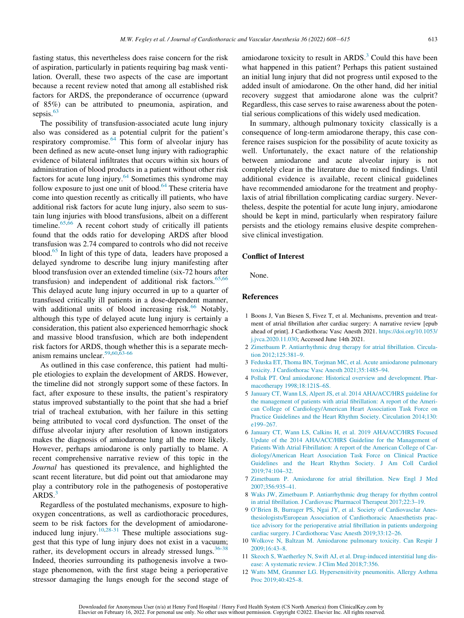fasting status, this nevertheless does raise concern for the risk of aspiration, particularly in patients requiring bag mask ventilation. Overall, these two aspects of the case are important because a recent review noted that among all established risk factors for ARDS, the preponderance of occurrence (upward of 85%) can be attributed to pneumonia, aspiration, and sepsis.<sup>[63](#page-9-0)</sup>

The possibility of transfusion-associated acute lung injury also was considered as a potential culprit for the patient's respiratory compromise.<sup>[64](#page-9-1)</sup> This form of alveolar injury has been defined as new acute-onset lung injury with radiographic evidence of bilateral infiltrates that occurs within six hours of administration of blood products in a patient without other risk factors for acute lung injury. $64$  Sometimes this syndrome may follow exposure to just one unit of blood. $64$  These criteria have come into question recently as critically ill patients, who have additional risk factors for acute lung injury, also seem to sustain lung injuries with blood transfusions, albeit on a different timeline.<sup>[65,](#page-9-2)[66](#page-9-3)</sup> A recent cohort study of critically ill patients found that the odds ratio for developing ARDS after blood transfusion was 2.74 compared to controls who did not receive blood.<sup>[65](#page-9-2)</sup> In light of this type of data, leaders have proposed a delayed syndrome to describe lung injury manifesting after blood transfusion over an extended timeline (six-72 hours after transfusion) and independent of additional risk factors. $65,66$  $65,66$ This delayed acute lung injury occurred in up to a quarter of transfused critically ill patients in a dose-dependent manner, with additional units of blood increasing risk. $66$  Notably, although this type of delayed acute lung injury is certainly a consideration, this patient also experienced hemorrhagic shock and massive blood transfusion, which are both independent risk factors for ARDS, though whether this is a separate mechanism remains unclear.[59,](#page-8-38)[60,](#page-8-39)[63-66](#page-9-0)

<span id="page-7-9"></span><span id="page-7-8"></span><span id="page-7-3"></span><span id="page-7-2"></span><span id="page-7-1"></span><span id="page-7-0"></span>As outlined in this case conference, this patient had multiple etiologies to explain the development of ARDS. However, the timeline did not strongly support some of these factors. In fact, after exposure to these insults, the patient's respiratory status improved substantially to the point that she had a brief trial of tracheal extubation, with her failure in this setting being attributed to vocal cord dysfunction. The onset of the diffuse alveolar injury after resolution of known instigators makes the diagnosis of amiodarone lung all the more likely. However, perhaps amiodarone is only partially to blame. A recent comprehensive narrative review of this topic in the Journal has questioned its prevalence, and highlighted the scant recent literature, but did point out that amiodarone may play a contributory role in the pathogenesis of postoperative  $ARDS.<sup>3</sup>$  $ARDS.<sup>3</sup>$  $ARDS.<sup>3</sup>$ 

<span id="page-7-7"></span><span id="page-7-6"></span><span id="page-7-5"></span><span id="page-7-4"></span>Regardless of the postulated mechanisms, exposure to highoxygen concentrations, as well as cardiothoracic procedures, seem to be risk factors for the development of amiodarone-induced lung injury.<sup>[10,](#page-7-5)[28-31](#page-8-16)</sup> These multiple associations suggest that this type of lung injury does not exist in a vacuum; rather, its development occurs in already stressed lungs.<sup>[36-38](#page-8-15)</sup> Indeed, theories surrounding its pathogenesis involve a twostage phenomenon, with the first stage being a perioperative stressor damaging the lungs enough for the second stage of amiodarone toxicity to result in ARDS.<sup>[3](#page-7-2)</sup> Could this have been what happened in this patient? Perhaps this patient sustained an initial lung injury that did not progress until exposed to the added insult of amiodarone. On the other hand, did her initial recovery suggest that amiodarone alone was the culprit? Regardless, this case serves to raise awareness about the potential serious complications of this widely used medication.

In summary, although pulmonary toxicity classically is a consequence of long-term amiodarone therapy, this case conference raises suspicion for the possibility of acute toxicity as well. Unfortunately, the exact nature of the relationship between amiodarone and acute alveolar injury is not completely clear in the literature due to mixed findings. Until additional evidence is available, recent clinical guidelines have recommended amiodarone for the treatment and prophylaxis of atrial fibrillation complicating cardiac surgery. Nevertheless, despite the potential for acute lung injury, amiodarone should be kept in mind, particularly when respiratory failure persists and the etiology remains elusive despite comprehensive clinical investigation.

#### Conflict of Interest

None.

#### References

- 1 Boons J, Van Biesen S, Fivez T, et al. Mechanisms, prevention and treatment of atrial fibrillation after cardiac surgery: A narrative review [epub ahead of print]. J Cardiothorac Vasc Anesth 2021. https://doi.org/[10.1053/](https://doi.org/10.1053/j.jvca.2020.11.030) [j.jvca.2020.11.030;](https://doi.org/10.1053/j.jvca.2020.11.030) Accessed June 14th 2021.
- 2 [Zimetbaum P. Antiarrhythmic drug therapy for atrial fibrillation. Circula](http://refhub.elsevier.com/S1053-0770(21)00437-7/sbref0002)[tion 2012;125:381–9.](http://refhub.elsevier.com/S1053-0770(21)00437-7/sbref0002)
- 3 [Feduska ET, Thoma BN, Torjman MC, et al. Acute amiodarone pulmonary](http://refhub.elsevier.com/S1053-0770(21)00437-7/sbref0003) [toxicity. J Cardiothorac Vasc Anesth 2021;35:1485–94.](http://refhub.elsevier.com/S1053-0770(21)00437-7/sbref0003)
- 4 [Pollak PT. Oral amiodarone: Historical overview and development. Phar](http://refhub.elsevier.com/S1053-0770(21)00437-7/sbref0004)[macotherapy 1998;18:121S–6S.](http://refhub.elsevier.com/S1053-0770(21)00437-7/sbref0004)
- 5 [January CT, Wann LS, Alpert JS, et al. 2014 AHA/ACC/HRS guideline for](http://refhub.elsevier.com/S1053-0770(21)00437-7/sbref0005) [the management of patients with atrial fibrillation: A report of the Ameri](http://refhub.elsevier.com/S1053-0770(21)00437-7/sbref0005)[can College of Cardiology/American Heart Association Task Force on](http://refhub.elsevier.com/S1053-0770(21)00437-7/sbref0005) [Practice Guidelines and the Heart Rhythm Society. Circulation 2014;130:](http://refhub.elsevier.com/S1053-0770(21)00437-7/sbref0005) [e199–267.](http://refhub.elsevier.com/S1053-0770(21)00437-7/sbref0005)
- 6 [January CT, Wann LS, Calkins H, et al. 2019 AHA/ACC/HRS Focused](http://refhub.elsevier.com/S1053-0770(21)00437-7/sbref0006) [Update of the 2014 AHA/ACC/HRS Guideline for the Management of](http://refhub.elsevier.com/S1053-0770(21)00437-7/sbref0006) [Patients With Atrial Fibrillation: A report of the American College of Car](http://refhub.elsevier.com/S1053-0770(21)00437-7/sbref0006)[diology/American Heart Association Task Force on Clinical Practice](http://refhub.elsevier.com/S1053-0770(21)00437-7/sbref0006) [Guidelines and the Heart Rhythm Society. J Am Coll Cardiol](http://refhub.elsevier.com/S1053-0770(21)00437-7/sbref0006) [2019;74:104–32.](http://refhub.elsevier.com/S1053-0770(21)00437-7/sbref0006)
- 7 [Zimetbaum P. Amiodarone for atrial fibrillation. New Engl J Med](http://refhub.elsevier.com/S1053-0770(21)00437-7/sbref0007) [2007;356:935–41.](http://refhub.elsevier.com/S1053-0770(21)00437-7/sbref0007)
- 8 [Waks JW, Zimetbaum P. Antiarrhythmic drug therapy for rhythm control](http://refhub.elsevier.com/S1053-0770(21)00437-7/sbref0008) [in atrial fibrillation. J Cardiovasc Pharmacol Therapeut 2017;22:3–19.](http://refhub.elsevier.com/S1053-0770(21)00437-7/sbref0008)
- 9 [O](http://refhub.elsevier.com/S1053-0770(21)00437-7/sbref0009)'[Brien B, Burrager PS, Ngai JY, et al. Society of Cardiovasclar Anes](http://refhub.elsevier.com/S1053-0770(21)00437-7/sbref0009)[thesiologists/European Association of Cardiothoracic Anaesthetists prac](http://refhub.elsevier.com/S1053-0770(21)00437-7/sbref0009)[tice advisory for the perioperative atrial fibrillation in patients undergoing](http://refhub.elsevier.com/S1053-0770(21)00437-7/sbref0009) [cardiac surgery. J Cardiothorac Vasc Anesth 2019;33:12–26.](http://refhub.elsevier.com/S1053-0770(21)00437-7/sbref0009)
- 10 [Wolkove N, Baltzan M. Amiodarone pulmonary toxicity. Can Respir J](http://refhub.elsevier.com/S1053-0770(21)00437-7/sbref0010) [2009;16:43–8.](http://refhub.elsevier.com/S1053-0770(21)00437-7/sbref0010)
- 11 [Skeoch S, Waetherley N, Swift AJ, et al. Drug-induced interstitial lung dis](http://refhub.elsevier.com/S1053-0770(21)00437-7/sbref0011)[ease: A systematic review. J Clim Med 2018;7:356.](http://refhub.elsevier.com/S1053-0770(21)00437-7/sbref0011)
- 12 [Watts MM, Grammer LG. Hypersensitivity pneumonitis. Allergy Asthma](http://refhub.elsevier.com/S1053-0770(21)00437-7/sbref0012) [Proc 2019;40:425–8.](http://refhub.elsevier.com/S1053-0770(21)00437-7/sbref0012)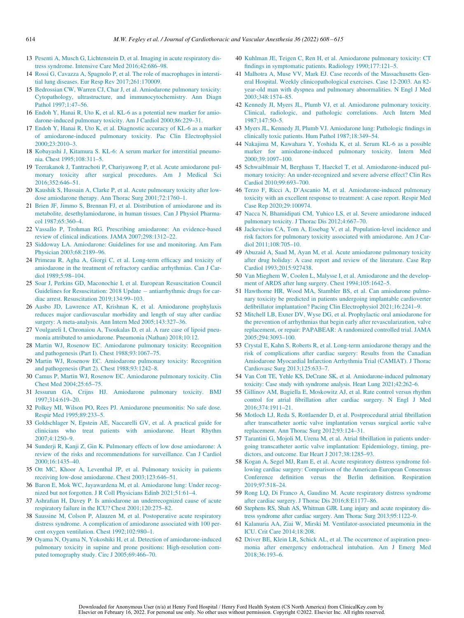- <span id="page-8-18"></span><span id="page-8-0"></span>13 [Pesenti A, Musch G, Lichtenstein D, et al. Imaging in acute respiratory dis](http://refhub.elsevier.com/S1053-0770(21)00437-7/sbref0013)[tress syndrome. Intensive Care Med 2016;42:686–98.](http://refhub.elsevier.com/S1053-0770(21)00437-7/sbref0013)
- <span id="page-8-19"></span><span id="page-8-1"></span>14 [Rossi G, Cavazza A, Spagnolo P, et al. The role of macrophages in intersti](http://refhub.elsevier.com/S1053-0770(21)00437-7/sbref0014)[tial lung diseases. Eur Resp Rev 2017;261:170009.](http://refhub.elsevier.com/S1053-0770(21)00437-7/sbref0014)
- <span id="page-8-2"></span>15 [Bedrossian CW, Warren CJ, Char J, et al. Amiodarone pulmonary toxicity:](http://refhub.elsevier.com/S1053-0770(21)00437-7/sbref0015) [Cytopathology, ultrastructure, and immunocytochemistry. Ann Diagn](http://refhub.elsevier.com/S1053-0770(21)00437-7/sbref0015) [Pathol 1997;1:47–56.](http://refhub.elsevier.com/S1053-0770(21)00437-7/sbref0015)
- <span id="page-8-20"></span><span id="page-8-3"></span>16 [Endoh Y, Hanai R, Uto K, et al. KL-6 as a potential new marker for amio](http://refhub.elsevier.com/S1053-0770(21)00437-7/sbref0016)[darone-induced pulmonary toxicity. Am J Cardiol 2000;86:229–31.](http://refhub.elsevier.com/S1053-0770(21)00437-7/sbref0016)
- <span id="page-8-21"></span>17 [Endoh Y, Hanai R, Uto K, et al. Diagnostic accuracy of KL-6 as a marker](http://refhub.elsevier.com/S1053-0770(21)00437-7/sbref0017) [of amiodarone-induced pulmonary toxicity. Pac Clin Electrophysiol](http://refhub.elsevier.com/S1053-0770(21)00437-7/sbref0017) [2000;23:2010–3.](http://refhub.elsevier.com/S1053-0770(21)00437-7/sbref0017)
- <span id="page-8-22"></span>18 [Kobayashi J, Kitamura S. KL-6: A serum marker for interstitial pneumo](http://refhub.elsevier.com/S1053-0770(21)00437-7/sbref0018)[nia. Chest 1995;108:311–5.](http://refhub.elsevier.com/S1053-0770(21)00437-7/sbref0018)
- <span id="page-8-23"></span><span id="page-8-4"></span>19 [Teerakanok J, Tantrachoti P, Chariyawong P, et al. Acute amiodarone pul](http://refhub.elsevier.com/S1053-0770(21)00437-7/sbref0019)[monary toxicity after surgical procedures. Am J Medical Sci](http://refhub.elsevier.com/S1053-0770(21)00437-7/sbref0019) [2016;352:646–51.](http://refhub.elsevier.com/S1053-0770(21)00437-7/sbref0019)
- <span id="page-8-24"></span><span id="page-8-5"></span>20 [Kaushik S, Hussain A, Clarke P, et al. Acute pulmonary toxicity after low](http://refhub.elsevier.com/S1053-0770(21)00437-7/sbref0020)[dose amiodarone therapy. Ann Thorac Surg 2001;72:1760–1.](http://refhub.elsevier.com/S1053-0770(21)00437-7/sbref0020)
- 21 [Brien JF, Jimmo S, Brennan FJ, et al. Distribution of amiodarone and its](http://refhub.elsevier.com/S1053-0770(21)00437-7/sbref0021) [metabolite, desethylamiodarone, in human tissues. Can J Physiol Pharma](http://refhub.elsevier.com/S1053-0770(21)00437-7/sbref0021)[col 1987;65:360–4.](http://refhub.elsevier.com/S1053-0770(21)00437-7/sbref0021)
- <span id="page-8-26"></span><span id="page-8-6"></span>22 [Vassallo P, Trohman RG. Prescribing amiodarone: An evidence-based](http://refhub.elsevier.com/S1053-0770(21)00437-7/sbref0022) [review of clinical indications. JAMA 2007;298:1312–22.](http://refhub.elsevier.com/S1053-0770(21)00437-7/sbref0022)
- <span id="page-8-27"></span>23 [Siddoway LA. Amiodarone: Guidelines for use and monitoring. Am Fam](http://refhub.elsevier.com/S1053-0770(21)00437-7/sbref0023) [Physician 2003;68:2189–96.](http://refhub.elsevier.com/S1053-0770(21)00437-7/sbref0023)
- 24 [Primeau R, Agha A, Giorgi C, et al. Long-term efficacy and toxicity of](http://refhub.elsevier.com/S1053-0770(21)00437-7/sbref0024) [amiodarone in the treatment of refractory cardiac arrhythmias. Can J Car](http://refhub.elsevier.com/S1053-0770(21)00437-7/sbref0024)[diol 1989;5:98–104.](http://refhub.elsevier.com/S1053-0770(21)00437-7/sbref0024)
- <span id="page-8-30"></span><span id="page-8-29"></span>25 [Soar J, Perkins GD, Maconochie I, et al. European Resuscitation Council](http://refhub.elsevier.com/S1053-0770(21)00437-7/sbref0025) [Guidelines for Resuscitation: 2018 Update](http://refhub.elsevier.com/S1053-0770(21)00437-7/sbref0025) - [antiarrhythmic drugs for car](http://refhub.elsevier.com/S1053-0770(21)00437-7/sbref0025)[diac arrest. Resuscitation 2019;134:99–103.](http://refhub.elsevier.com/S1053-0770(21)00437-7/sbref0025)
- <span id="page-8-31"></span><span id="page-8-7"></span>26 [Aasbo JD, Lawrence AT, Krishnan K, et al. Amiodarone prophylaxis](http://refhub.elsevier.com/S1053-0770(21)00437-7/sbref0026) [reduces major cardiovascular morbidity and length of stay after cardiac](http://refhub.elsevier.com/S1053-0770(21)00437-7/sbref0026) [surgery: A meta-analysis. Ann Intern Med 2005;143:327–36.](http://refhub.elsevier.com/S1053-0770(21)00437-7/sbref0026)
- <span id="page-8-8"></span>27 [Voulgareli I, Chronaiou A, Tsoukalas D, et al. A rare case of lipoid pneu](http://refhub.elsevier.com/S1053-0770(21)00437-7/sbref0027)[monia attributed to amiodarone. Pneumonia \(Nathan\) 2018;10:12.](http://refhub.elsevier.com/S1053-0770(21)00437-7/sbref0027)
- <span id="page-8-32"></span><span id="page-8-16"></span>28 [Martin WJ, Rosenow EC. Amiodarone pulmonary toxicity: Recognition](http://refhub.elsevier.com/S1053-0770(21)00437-7/sbref0028) [and pathogenesis \(Part I\). Chest 1988;93:1067–75.](http://refhub.elsevier.com/S1053-0770(21)00437-7/sbref0028)
- <span id="page-8-9"></span>29 [Martin WJ, Rosenow EC. Amiodarone pulmonary toxicity: Recognition](http://refhub.elsevier.com/S1053-0770(21)00437-7/sbref0029) [and pathogenesis \(Part 2\). Chest 1988;93:1242–8.](http://refhub.elsevier.com/S1053-0770(21)00437-7/sbref0029)
- <span id="page-8-33"></span><span id="page-8-12"></span>30 [Camus P, Martin WJ, Rosenow EC. Amiodarone pulmonary toxicity. Clin](http://refhub.elsevier.com/S1053-0770(21)00437-7/sbref0030) [Chest Med 2004;25:65–75.](http://refhub.elsevier.com/S1053-0770(21)00437-7/sbref0030)
- <span id="page-8-34"></span><span id="page-8-10"></span>31 [Jessurun GA, Crijns HJ. Amiodarone pulmonary toxicity. BMJ](http://refhub.elsevier.com/S1053-0770(21)00437-7/sbref0031) [1997;314:619–20.](http://refhub.elsevier.com/S1053-0770(21)00437-7/sbref0031)
- <span id="page-8-35"></span><span id="page-8-28"></span>32 [Polkey MI, Wilson PO, Rees PJ. Amiodarone pneumonitis: No safe dose.](http://refhub.elsevier.com/S1053-0770(21)00437-7/sbref0032) [Respir Med 1995;89:233–5.](http://refhub.elsevier.com/S1053-0770(21)00437-7/sbref0032)
- <span id="page-8-25"></span>33 [Goldschlager N, Epstein AE, Naccarelli GV, et al. A practical guide for](http://refhub.elsevier.com/S1053-0770(21)00437-7/sbref0033) [clinicians who treat patients with amiodarone. Heart Rhythm](http://refhub.elsevier.com/S1053-0770(21)00437-7/sbref0033) [2007;4:1250–9.](http://refhub.elsevier.com/S1053-0770(21)00437-7/sbref0033)
- <span id="page-8-36"></span><span id="page-8-11"></span>34 [Sunderji R, Kanji Z, Gin K. Pulmonary effects of low dose amiodarone: A](http://refhub.elsevier.com/S1053-0770(21)00437-7/sbref0034) [review of the risks and recommendations for surveillance. Can J Cardiol](http://refhub.elsevier.com/S1053-0770(21)00437-7/sbref0034) [2000;16:1435–40.](http://refhub.elsevier.com/S1053-0770(21)00437-7/sbref0034)
- <span id="page-8-37"></span>35 [Ott MC, Khoor A, Leventhal JP, et al. Pulmonary toxicity in patients](http://refhub.elsevier.com/S1053-0770(21)00437-7/sbref0035) [receiving low-dose amiodarone. Chest 2003;123:646–51.](http://refhub.elsevier.com/S1053-0770(21)00437-7/sbref0035)
- <span id="page-8-38"></span><span id="page-8-15"></span>36 [Baron E, Mok WC, Jayawardena M, et al. Amiodarone lung: Under recog](http://refhub.elsevier.com/S1053-0770(21)00437-7/sbref0036)[nized but not forgotten. J R Coll Physicians Edinb 2021;51:61–4.](http://refhub.elsevier.com/S1053-0770(21)00437-7/sbref0036)
- <span id="page-8-39"></span><span id="page-8-13"></span>37 [Ashrafian H, Davey P. Is amiodarone an underrecognized cause of acute](http://refhub.elsevier.com/S1053-0770(21)00437-7/sbref0037) [respiratory failure in the ICU? Chest 2001;120:275–82.](http://refhub.elsevier.com/S1053-0770(21)00437-7/sbref0037)
- <span id="page-8-40"></span><span id="page-8-14"></span>38 [Saussine M, Colson P, Alauzen M, et al. Postoperative acute respiratory](http://refhub.elsevier.com/S1053-0770(21)00437-7/sbref0038) [distress syndrome. A complication of amiodarone associated with 100 per](http://refhub.elsevier.com/S1053-0770(21)00437-7/sbref0038)[cent oxygen ventilation. Chest 1992;102:980–1.](http://refhub.elsevier.com/S1053-0770(21)00437-7/sbref0038)
- <span id="page-8-41"></span><span id="page-8-17"></span>39 [Oyama N, Oyama N, Yokoshiki H, et al. Detection of amiodarone-induced](http://refhub.elsevier.com/S1053-0770(21)00437-7/sbref0039) [pulmonary toxicity in supine and prone positions: High-resolution com](http://refhub.elsevier.com/S1053-0770(21)00437-7/sbref0039)[puted tomography study. Circ J 2005;69:466–70.](http://refhub.elsevier.com/S1053-0770(21)00437-7/sbref0039)
- 40 [Kuhlman JE, Teigen C, Ren H, et al. Amiodarone pulmonary toxicity: CT](http://refhub.elsevier.com/S1053-0770(21)00437-7/sbref0040) [findings in symptomatic patients. Radiology 1990;177:121–5.](http://refhub.elsevier.com/S1053-0770(21)00437-7/sbref0040)
- 41 [Malhotra A, Muse VV, Mark EJ. Case records of the Massachusetts Gen](http://refhub.elsevier.com/S1053-0770(21)00437-7/sbref0041)[eral Hospital. Weekly clinicopathological exercises. Case 12-2003. An 82](http://refhub.elsevier.com/S1053-0770(21)00437-7/sbref0041) [year-old man with dyspnea and pulmonary abnormalities. N Engl J Med](http://refhub.elsevier.com/S1053-0770(21)00437-7/sbref0041) [2003;348:1574–85.](http://refhub.elsevier.com/S1053-0770(21)00437-7/sbref0041)
- 42 [Kennedy JI, Myers JL, Plumb VJ, et al. Amiodarone pulmonary toxicity.](http://refhub.elsevier.com/S1053-0770(21)00437-7/sbref0042) [Clinical, radiologic, and pathologic correlations. Arch Intern Med](http://refhub.elsevier.com/S1053-0770(21)00437-7/sbref0042) [1987;147:50–5.](http://refhub.elsevier.com/S1053-0770(21)00437-7/sbref0042)
- 43 [Myers JL, Kennedy JI, Plumb VJ. Amiodarone lung: Pathologic findings in](http://refhub.elsevier.com/S1053-0770(21)00437-7/sbref0043) [clinically toxic patients. Hum Pathol 1987;18:349–54.](http://refhub.elsevier.com/S1053-0770(21)00437-7/sbref0043)
- 44 [Nakajima M, Kawahara Y, Yoshida K, et al. Serum KL-6 as a possible](http://refhub.elsevier.com/S1053-0770(21)00437-7/sbref0044) [marker for amiodarone-induced pulmonary toxicity. Intern Med](http://refhub.elsevier.com/S1053-0770(21)00437-7/sbref0044) [2000;39:1097–100.](http://refhub.elsevier.com/S1053-0770(21)00437-7/sbref0044)
- 45 [Schwaiblmair M, Berghaus T, Haeckel T, et al. Amiodarone-induced pul](http://refhub.elsevier.com/S1053-0770(21)00437-7/sbref0045)[monary toxicity: An under-recognized and severe adverse effect? Clin Res](http://refhub.elsevier.com/S1053-0770(21)00437-7/sbref0045) [Cardiol 2010;99:693–700.](http://refhub.elsevier.com/S1053-0770(21)00437-7/sbref0045)
- 46 [Terzo F, Ricci A, D'Ascanio M, et al. Amiodarone-induced pulmonary](http://refhub.elsevier.com/S1053-0770(21)00437-7/sbref0046) [toxicity with an excellent response to treatment: A case report. Respir Med](http://refhub.elsevier.com/S1053-0770(21)00437-7/sbref0046) [Case Rep 2020;29:100974.](http://refhub.elsevier.com/S1053-0770(21)00437-7/sbref0046)
- 47 [Nacca N, Bhamidipati CM, Yuhico LS, et al. Severe amiodarone induced](http://refhub.elsevier.com/S1053-0770(21)00437-7/sbref0047) [pulmonary toxicity. J Thorac Dis 2012;4:667–70.](http://refhub.elsevier.com/S1053-0770(21)00437-7/sbref0047)
- 48 [Jackevicius CA, Tom A, Essebag V, et al. Population-level incidence and](http://refhub.elsevier.com/S1053-0770(21)00437-7/sbref0048) [risk factors for pulmonary toxicity associated with amiodarone. Am J Car](http://refhub.elsevier.com/S1053-0770(21)00437-7/sbref0048)[diol 2011;108:705–10.](http://refhub.elsevier.com/S1053-0770(21)00437-7/sbref0048)
- 49 [Abuzaid A, Saad M, Ayan M, et al. Acute amiodarone pulmonary toxicity](http://refhub.elsevier.com/S1053-0770(21)00437-7/sbref0049) [after drug holiday: A case report and review of the literature. Case Rep](http://refhub.elsevier.com/S1053-0770(21)00437-7/sbref0049) [Cardiol 1993;2015:927438.](http://refhub.elsevier.com/S1053-0770(21)00437-7/sbref0049)
- 50 [Van Mieghem W, Coolen L, Malysse I, et al. Amiodarone and the develop](http://refhub.elsevier.com/S1053-0770(21)00437-7/sbref0050)[ment of ARDS after lung surgery. Chest 1994;105:1642–5.](http://refhub.elsevier.com/S1053-0770(21)00437-7/sbref0050)
- 51 [Hawthorne HR, Wood MA, Stambler BS, et al. Can amiodarone pulmo](http://refhub.elsevier.com/S1053-0770(21)00437-7/sbref0051)[nary toxicity be predicted in patients undergoing implantable cardioverter](http://refhub.elsevier.com/S1053-0770(21)00437-7/sbref0051) [defibrillator implantation? Pacing Clin Electrophysiol 2021;16:2241–9.](http://refhub.elsevier.com/S1053-0770(21)00437-7/sbref0051)
- 52 [Mitchell LB, Exner DV, Wyse DG, et al. Prophylactic oral amiodarone for](http://refhub.elsevier.com/S1053-0770(21)00437-7/sbref0052) [the prevention of arrhythmias that begin early after revascularization, valve](http://refhub.elsevier.com/S1053-0770(21)00437-7/sbref0052) [replacement, or repair: PAPABEAR: A randomized controlled trial. JAMA](http://refhub.elsevier.com/S1053-0770(21)00437-7/sbref0052) [2005;294:3093–100.](http://refhub.elsevier.com/S1053-0770(21)00437-7/sbref0052)
- 53 [Crystal E, Kahn S, Roberts R, et al. Long-term amiodarone therapy and the](http://refhub.elsevier.com/S1053-0770(21)00437-7/sbref0053) [risk of complications after cardiac surgery: Results from the Canadian](http://refhub.elsevier.com/S1053-0770(21)00437-7/sbref0053) [Amiodarone Myocardial Infarction Arrhythmia Trial \(CAMIAT\). J Thorac](http://refhub.elsevier.com/S1053-0770(21)00437-7/sbref0053) [Cardiovasc Surg 2013;125:633–7.](http://refhub.elsevier.com/S1053-0770(21)00437-7/sbref0053)
- 54 [Van Cott TE, Yehle KS, DeCrane SK, et al. Amiodarone-induced pulmonary](http://refhub.elsevier.com/S1053-0770(21)00437-7/sbref0054) [toxicity: Case study with syndrome analysis. Heart Lung 2021;42:262–6.](http://refhub.elsevier.com/S1053-0770(21)00437-7/sbref0054)
- 55 [Gillinov AM, Bagiella E, Moskowitz AJ, et al. Rate control versus rhythm](http://refhub.elsevier.com/S1053-0770(21)00437-7/sbref0055) [control for atrial fibrillation after cardiac surgery. N Engl J Med](http://refhub.elsevier.com/S1053-0770(21)00437-7/sbref0055) [2016;374:1911–21.](http://refhub.elsevier.com/S1053-0770(21)00437-7/sbref0055)
- 56 [Motloch LJ, Reda S, Rottlaender D, et al. Postprocedural atrial fibrillation](http://refhub.elsevier.com/S1053-0770(21)00437-7/sbref0056) [after transcatheter aortic valve implantation versus surgical aortic valve](http://refhub.elsevier.com/S1053-0770(21)00437-7/sbref0056) [replacement. Ann Thorac Surg 2012;93:124–31.](http://refhub.elsevier.com/S1053-0770(21)00437-7/sbref0056)
- 57 [Tarantini G, Mojoli M, Urena M, et al. Atrial fibrillation in patients under](http://refhub.elsevier.com/S1053-0770(21)00437-7/sbref0057)[going transcatheter aortic valve implantation: Epidemiology, timing, pre](http://refhub.elsevier.com/S1053-0770(21)00437-7/sbref0057)[dictors, and outcome. Eur Heart J 2017;38:1285–93.](http://refhub.elsevier.com/S1053-0770(21)00437-7/sbref0057)
- 58 [Kogan A, Segel MJ, Ram E, et al. Acute respiratory distress syndrome fol](http://refhub.elsevier.com/S1053-0770(21)00437-7/sbref0058)[lowing cardiac surgery: Comparison of the American-European Consensus](http://refhub.elsevier.com/S1053-0770(21)00437-7/sbref0058) [Conference definition versus the Berlin definition. Respiration](http://refhub.elsevier.com/S1053-0770(21)00437-7/sbref0058) [2019;97:518–24.](http://refhub.elsevier.com/S1053-0770(21)00437-7/sbref0058)
- 59 [Rong LQ, Di Franco A, Gaudino M. Acute respiratory distress syndrome](http://refhub.elsevier.com/S1053-0770(21)00437-7/sbref0059) [after cardiac surgery. J Thorac Dis 2016;8:E1177–86.](http://refhub.elsevier.com/S1053-0770(21)00437-7/sbref0059)
- 60 [Stephens RS, Shah AS, Whitman GJR. Lung injury and acute respiratory dis](http://refhub.elsevier.com/S1053-0770(21)00437-7/sbref0060)[tress syndrome after cardiac surgery. Ann Thorac Surg 2013;95:1122–9.](http://refhub.elsevier.com/S1053-0770(21)00437-7/sbref0060)
- 61 [Kalanuria AA, Ziai W, Mirski M. Ventilator-associated pneumonia in the](http://refhub.elsevier.com/S1053-0770(21)00437-7/sbref0061) [ICU. Crit Care 2014;18:208.](http://refhub.elsevier.com/S1053-0770(21)00437-7/sbref0061)
- 62 [Driver BE, Klein LR, Schick AL, et al. The occurrence of aspiration pneu](http://refhub.elsevier.com/S1053-0770(21)00437-7/sbref0062)[monia after emergency endotracheal intubation. Am J Emerg Med](http://refhub.elsevier.com/S1053-0770(21)00437-7/sbref0062) [2018;36:193–6.](http://refhub.elsevier.com/S1053-0770(21)00437-7/sbref0062)